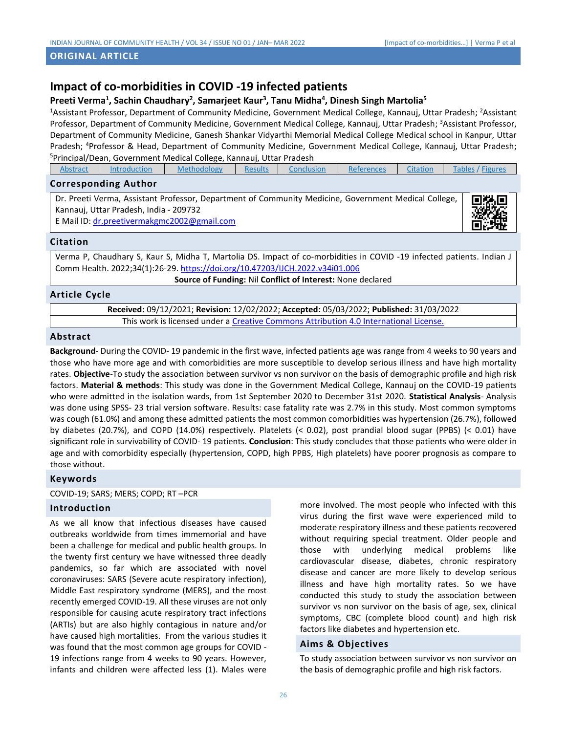## **ORIGINAL ARTICLE**

# **Impact of co-morbidities in COVID -19 infected patients**

## **Preeti Verma<sup>1</sup> , Sachin Chaudhary<sup>2</sup> , Samarjeet Kaur<sup>3</sup> , Tanu Midha<sup>4</sup> , Dinesh Singh Martolia<sup>5</sup>**

<sup>1</sup>Assistant Professor, Department of Community Medicine, Government Medical College, Kannauj, Uttar Pradesh; <sup>2</sup>Assistant Professor, Department of Community Medicine, Government Medical College, Kannauj, Uttar Pradesh; <sup>3</sup>Assistant Professor, Department of Community Medicine, Ganesh Shankar Vidyarthi Memorial Medical College Medical school in Kanpur, Uttar Pradesh; <sup>4</sup>Professor & Head, Department of Community Medicine, Government Medical College, Kannauj, Uttar Pradesh; <sup>5</sup>Principal/Dean, Government Medical College, Kannauj, Uttar Pradesh

| Abstract | <b>Introduction</b>                    | Methodology                                                                                          | <b>Results</b> | <b>Conclusion</b> | <b>References</b> | Citation | Tables / Figures |
|----------|----------------------------------------|------------------------------------------------------------------------------------------------------|----------------|-------------------|-------------------|----------|------------------|
|          | <b>Corresponding Author</b>            |                                                                                                      |                |                   |                   |          |                  |
|          | Kannauj, Uttar Pradesh, India - 209732 | Dr. Preeti Verma, Assistant Professor, Department of Community Medicine, Government Medical College, |                |                   |                   |          | 鸚鵡               |

E Mail ID[: dr.preetivermakgmc2002@gmail.com](mailto:dr.preetivermakgmc2002@gmail.com)



## **Citation**

Verma P, Chaudhary S, Kaur S, Midha T, Martolia DS. Impact of co-morbidities in COVID -19 infected patients. Indian J Comm Health. 2022;34(1):26-29. <https://doi.org/10.47203/IJCH.2022.v34i01.006>

<span id="page-0-0"></span>**Source of Funding:** Nil **Conflict of Interest:** None declared

## **Article Cycle**

**Received:** 09/12/2021; **Revision:** 12/02/2022; **Accepted:** 05/03/2022; **Published:** 31/03/2022 This work is licensed under a [Creative Commons Attribution 4.0 International License.](http://creativecommons.org/licenses/by/4.0/)

## **Abstract**

**Background**- During the COVID- 19 pandemic in the first wave, infected patients age was range from 4 weeks to 90 years and those who have more age and with comorbidities are more susceptible to develop serious illness and have high mortality rates. **Objective**-To study the association between survivor vs non survivor on the basis of demographic profile and high risk factors. **Material & methods**: This study was done in the Government Medical College, Kannauj on the COVID-19 patients who were admitted in the isolation wards, from 1st September 2020 to December 31st 2020. **Statistical Analysis**- Analysis was done using SPSS- 23 trial version software. Results: case fatality rate was 2.7% in this study. Most common symptoms was cough (61.0%) and among these admitted patients the most common comorbidities was hypertension (26.7%), followed by diabetes (20.7%), and COPD (14.0%) respectively. Platelets (< 0.02), post prandial blood sugar (PPBS) (< 0.01) have significant role in survivability of COVID- 19 patients. **Conclusion**: This study concludes that those patients who were older in age and with comorbidity especially (hypertension, COPD, high PPBS, High platelets) have poorer prognosis as compare to those without.

## **Keywords**

COVID-19; SARS; MERS; COPD; RT –PCR

#### **Introduction**

As we all know that infectious diseases have caused outbreaks worldwide from times immemorial and have been a challenge for medical and public health groups. In the twenty first century we have witnessed three deadly pandemics, so far which are associated with novel coronaviruses: SARS (Severe acute respiratory infection), Middle East respiratory syndrome (MERS), and the most recently emerged COVID-19. All these viruses are not only responsible for causing acute respiratory tract infections (ARTIs) but are also highly contagious in nature and/or have caused high mortalities. From the various studies it was found that the most common age groups for COVID - 19 infections range from 4 weeks to 90 years. However, infants and children were affected less (1). Males were

more involved. The most people who infected with this virus during the first wave were experienced mild to moderate respiratory illness and these patients recovered without requiring special treatment. Older people and those with underlying medical problems like cardiovascular disease, diabetes, chronic respiratory disease and cancer are more likely to develop serious illness and have high mortality rates. So we have conducted this study to study the association between survivor vs non survivor on the basis of age, sex, clinical symptoms, CBC (complete blood count) and high risk factors like diabetes and hypertension etc.

## **Aims & Objectives**

To study association between survivor vs non survivor on the basis of demographic profile and high risk factors.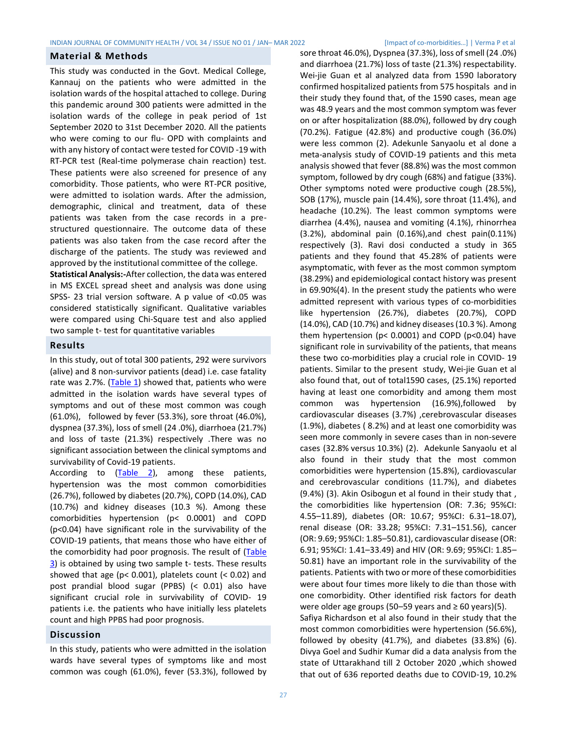## <span id="page-1-0"></span>**Material & Methods**

This study was conducted in the Govt. Medical College, Kannauj on the patients who were admitted in the isolation wards of the hospital attached to college. During this pandemic around 300 patients were admitted in the isolation wards of the college in peak period of 1st September 2020 to 31st December 2020. All the patients who were coming to our flu- OPD with complaints and with any history of contact were tested for COVID -19 with RT-PCR test (Real-time polymerase chain reaction) test. These patients were also screened for presence of any comorbidity. Those patients, who were RT-PCR positive, were admitted to isolation wards. After the admission, demographic, clinical and treatment, data of these patients was taken from the case records in a prestructured questionnaire. The outcome data of these patients was also taken from the case record after the discharge of the patients. The study was reviewed and approved by the institutional committee of the college.

**Statistical Analysis:-**After collection, the data was entered in MS EXCEL spread sheet and analysis was done using SPSS- 23 trial version software. A p value of <0.05 was considered statistically significant. Qualitative variables were compared using Chi-Square test and also applied two sample t- test for quantitative variables

## <span id="page-1-1"></span>**Results**

In this study, out of total 300 patients, 292 were survivors (alive) and 8 non-survivor patients (dead) i.e. case fatality rate was 2.7%. [\(Table 1\)](#page-2-2) showed that, patients who were admitted in the isolation wards have several types of symptoms and out of these most common was cough (61.0%), followed by fever (53.3%), sore throat (46.0%), dyspnea (37.3%), loss of smell (24 .0%), diarrhoea (21.7%) and loss of taste (21.3%) respectively .There was no significant association between the clinical symptoms and survivability of Covid-19 patients.

According to [\(Table 2\)](#page-3-0), among these patients, hypertension was the most common comorbidities (26.7%), followed by diabetes (20.7%), COPD (14.0%), CAD (10.7%) and kidney diseases (10.3 %). Among these comorbidities hypertension (p< 0.0001) and COPD (p<0.04) have significant role in the survivability of the COVID-19 patients, that means those who have either of the comorbidity had poor prognosis. The result of [\(Table](#page-3-1)  [3\)](#page-3-1) is obtained by using two sample t- tests. These results showed that age (p< 0.001), platelets count (< 0.02) and post prandial blood sugar (PPBS) (< 0.01) also have significant crucial role in survivability of COVID- 19 patients i.e. the patients who have initially less platelets count and high PPBS had poor prognosis.

## **Discussion**

In this study, patients who were admitted in the isolation wards have several types of symptoms like and most common was cough (61.0%), fever (53.3%), followed by sore throat 46.0%), Dyspnea (37.3%), loss of smell (24 .0%) and diarrhoea (21.7%) loss of taste (21.3%) respectability. [Wei-jie](https://www.ncbi.nlm.nih.gov/pubmed/?term=Guan%20Wj%5BAuthor%5D&cauthor=true&cauthor_uid=32217650) Guan et al analyzed data from 1590 laboratory confirmed hospitalized patients from 575 hospitals and in their study they found that, of the 1590 cases, mean age was 48.9 years and the most common symptom was fever on or after hospitalization (88.0%), followed by dry cough (70.2%). Fatigue (42.8%) and productive cough (36.0%) were less common (2). Adekunle Sanyaolu et al done a meta-analysis study of COVID-19 patients and this meta analysis showed that fever (88.8%) was the most common symptom, followed by dry cough (68%) and fatigue (33%). Other symptoms noted were productive cough (28.5%), SOB (17%), muscle pain (14.4%), sore throat (11.4%), and headache (10.2%). The least common symptoms were diarrhea (4.4%), nausea and vomiting (4.1%), rhinorrhea (3.2%), abdominal pain (0.16%),and chest pain(0.11%) respectively (3). Ravi dosi conducted a study in 365 patients and they found that 45.28% of patients were asymptomatic, with fever as the most common symptom (38.29%) and epidemiological contact history was present in 69.90%(4). In the present study the patients who were admitted represent with various types of co-morbidities like hypertension (26.7%), diabetes (20.7%), COPD (14.0%), CAD (10.7%) and kidney diseases (10.3 %). Among them hypertension (p< 0.0001) and COPD (p<0.04) have significant role in survivability of the patients, that means these two co-morbidities play a crucial role in COVID- 19 patients. Similar to the present study, [Wei-jie Guan](https://www.ncbi.nlm.nih.gov/pubmed/?term=Guan%20Wj%5BAuthor%5D&cauthor=true&cauthor_uid=32217650) et al also found that, out of total1590 cases, (25.1%) reported having at least one comorbidity and among them most common was hypertension (16.9%),followed by cardiovascular diseases (3.7%) ,cerebrovascular diseases (1.9%), diabetes ( 8.2%) and at least one comorbidity was seen more commonly in severe cases than in non-severe cases (32.8% versus 10.3%) (2). [Adekunle Sanyaolu](https://www.ncbi.nlm.nih.gov/pubmed/?term=Sanyaolu%20A%5BAuthor%5D&cauthor=true&cauthor_uid=32838147) et al also found in their study that the most common comorbidities were hypertension (15.8%), cardiovascular and cerebrovascular conditions (11.7%), and diabetes (9.4%) (3). Akin Osibogun et al found in their study that , the comorbidities like hypertension (OR: 7.36; 95%CI: 4.55–11.89), diabetes (OR: 10.67; 95%CI: 6.31–18.07), renal disease (OR: 33.28; 95%CI: 7.31–151.56), cancer (OR: 9.69; 95%CI: 1.85–50.81), cardiovascular disease (OR: 6.91; 95%CI: 1.41–33.49) and HIV (OR: 9.69; 95%CI: 1.85– 50.81) have an important role in the survivability of the patients. Patients with two or more of these comorbidities were about four times more likely to die than those with one comorbidity. Other identified risk factors for death were older age groups (50–59 years and  $\geq 60$  years)(5). Safiya Richardson et al also found in their study that the most common comorbidities were hypertension (56.6%), followed by obesity (41.7%), and diabetes (33.8%) (6). Divya Goel and Sudhir Kumar did a data analysis from the state of Uttarakhand till 2 October 2020 ,which showed that out of 636 reported deaths due to COVID-19, 10.2%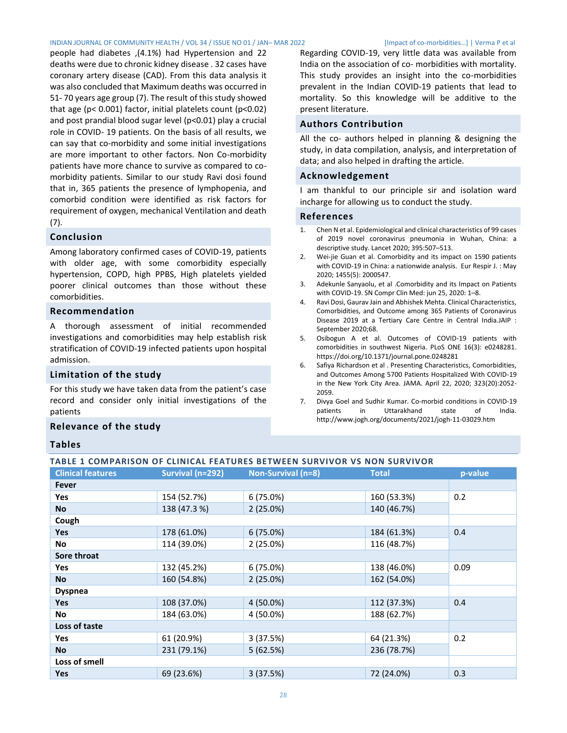#### INDIAN JOURNAL OF COMMUNITY HEALTH / VOL 34 / ISSUE NO 01 / JAN– MAR 2022 [Impact of co-morbidities…] | Verma P et al

people had diabetes ,(4.1%) had Hypertension and 22 deaths were due to chronic kidney disease . 32 cases have coronary artery disease (CAD). From this data analysis it was also concluded that Maximum deaths was occurred in 51- 70 years age group (7). The result of this study showed that age ( $p$ < 0.001) factor, initial platelets count ( $p$ <0.02) and post prandial blood sugar level (p<0.01) play a crucial role in COVID- 19 patients. On the basis of all results, we can say that co-morbidity and some initial investigations are more important to other factors. Non Co-morbidity patients have more chance to survive as compared to comorbidity patients. Similar to our study Ravi dosi found that in, 365 patients the presence of lymphopenia, and comorbid condition were identified as risk factors for requirement of oxygen, mechanical Ventilation and death (7).

## <span id="page-2-0"></span>**Conclusion**

Among laboratory confirmed cases of COVID-19, patients with older age, with some comorbidity especially hypertension, COPD, high PPBS, High platelets yielded poorer clinical outcomes than those without these comorbidities.

## **Recommendation**

A thorough assessment of initial recommended investigations and comorbidities may help establish risk stratification of COVID-19 infected patients upon hospital admission.

## **Limitation of the study**

For this study we have taken data from the patient's case record and consider only initial investigations of the patients

## **Relevance of the study**

## **Tables**

## <span id="page-2-2"></span>**TABLE 1 COMPARISON OF CLINICAL FEATURES BETWEEN SURVIVOR VS NON SURVIVOR**

| <b>Clinical features</b> | Survival (n=292) | Non-Survival (n=8) | <b>Total</b> | p-value |  |
|--------------------------|------------------|--------------------|--------------|---------|--|
| Fever                    |                  |                    |              |         |  |
| Yes                      | 154 (52.7%)      | $6(75.0\%)$        | 160 (53.3%)  | 0.2     |  |
| <b>No</b>                | 138 (47.3 %)     | $2(25.0\%)$        | 140 (46.7%)  |         |  |
| Cough                    |                  |                    |              |         |  |
| Yes                      | 178 (61.0%)      | $6(75.0\%)$        | 184 (61.3%)  | 0.4     |  |
| No                       | 114 (39.0%)      | $2(25.0\%)$        | 116 (48.7%)  |         |  |
| Sore throat              |                  |                    |              |         |  |
| <b>Yes</b>               | 132 (45.2%)      | $6(75.0\%)$        | 138 (46.0%)  | 0.09    |  |
| No                       | 160 (54.8%)      | $2(25.0\%)$        | 162 (54.0%)  |         |  |
| <b>Dyspnea</b>           |                  |                    |              |         |  |
| <b>Yes</b>               | 108 (37.0%)      | 4 (50.0%)          | 112 (37.3%)  | 0.4     |  |
| No                       | 184 (63.0%)      | 4 (50.0%)          | 188 (62.7%)  |         |  |
| Loss of taste            |                  |                    |              |         |  |
| Yes                      | 61 (20.9%)       | 3(37.5%)           | 64 (21.3%)   | 0.2     |  |
| <b>No</b>                | 231 (79.1%)      | 5(62.5%)           | 236 (78.7%)  |         |  |
| Loss of smell            |                  |                    |              |         |  |
| <b>Yes</b>               | 69 (23.6%)       | 3(37.5%)           | 72 (24.0%)   | 0.3     |  |

Regarding COVID-19, very little data was available from India on the association of co- morbidities with mortality. This study provides an insight into the co-morbidities prevalent in the Indian COVID-19 patients that lead to mortality. So this knowledge will be additive to the present literature.

## **Authors Contribution**

All the co- authors helped in planning & designing the study, in data compilation, analysis, and interpretation of data; and also helped in drafting the article.

## **Acknowledgement**

I am thankful to our principle sir and isolation ward incharge for allowing us to conduct the study.

#### <span id="page-2-1"></span>**References**

- 1. Chen N et al. Epidemiological and clinical characteristics of 99 cases of 2019 novel coronavirus pneumonia in Wuhan, China: a descriptive study. Lancet 2020; 395:507–513.
- 2. Wei-jie Guan et al. Comorbidity and its impact on 1590 patients with COVID-19 in China: a nationwide analysis. Eur Respir J. : May 2020; 1455(5): 2000547.
- 3. Adekunle Sanyaolu, et al .Comorbidity and its Impact on Patients with COVID-19. SN Compr Clin Med: jun 25, 2020: 1–8.
- 4. Ravi Dosi, Gaurav Jain and Abhishek Mehta. Clinical Characteristics, Comorbidities, and Outcome among 365 Patients of Coronavirus Disease 2019 at a Tertiary Care Centre in Central India.JAIP : September 2020;68.
- 5. Osibogun A et al. Outcomes of COVID-19 patients with comorbidities in southwest Nigeria. PLoS ONE 16(3): e0248281. https://doi.org/10.1371/journal.pone.0248281
- 6. Safiya Richardson et al . Presenting Characteristics, Comorbidities, and Outcomes Among 5700 Patients Hospitalized With COVID-19 in the New York City Area. JAMA. April 22, 2020; 323(20):2052- 2059.
- 7. Divya Goel and Sudhir Kumar. Co-morbid conditions in COVID-19 patients in Uttarakhand state of India. http://www.jogh.org/documents/2021/jogh-11-03029.htm